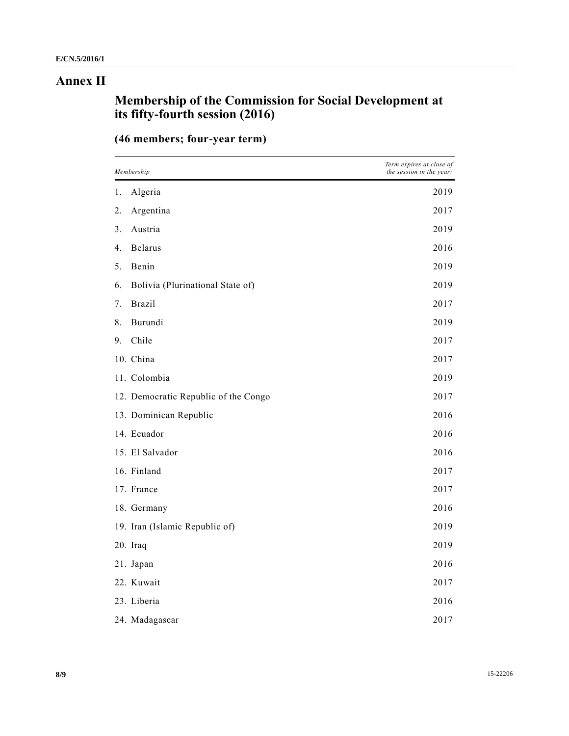## **Annex II**

## **Membership of the Commission for Social Development at its fifty-fourth session (2016)**

|  | (46 members; four-year term) |  |
|--|------------------------------|--|
|  |                              |  |

| Membership |                                      | Term expires at close of<br>the session in the year: |
|------------|--------------------------------------|------------------------------------------------------|
| 1.         | Algeria                              | 2019                                                 |
| 2.         | Argentina                            | 2017                                                 |
| 3.         | Austria                              | 2019                                                 |
| 4.         | <b>Belarus</b>                       | 2016                                                 |
| 5.         | Benin                                | 2019                                                 |
| 6.         | Bolivia (Plurinational State of)     | 2019                                                 |
| 7.         | <b>Brazil</b>                        | 2017                                                 |
| 8.         | Burundi                              | 2019                                                 |
| 9.         | Chile                                | 2017                                                 |
|            | 10. China                            | 2017                                                 |
|            | 11. Colombia                         | 2019                                                 |
|            | 12. Democratic Republic of the Congo | 2017                                                 |
|            | 13. Dominican Republic               | 2016                                                 |
|            | 14. Ecuador                          | 2016                                                 |
|            | 15. El Salvador                      | 2016                                                 |
|            | 16. Finland                          | 2017                                                 |
|            | 17. France                           | 2017                                                 |
|            | 18. Germany                          | 2016                                                 |
|            | 19. Iran (Islamic Republic of)       | 2019                                                 |
|            | 20. Iraq                             | 2019                                                 |
|            | 21. Japan                            | 2016                                                 |
|            | 22. Kuwait                           | 2017                                                 |
|            | 23. Liberia                          | 2016                                                 |
|            | 24. Madagascar                       | 2017                                                 |